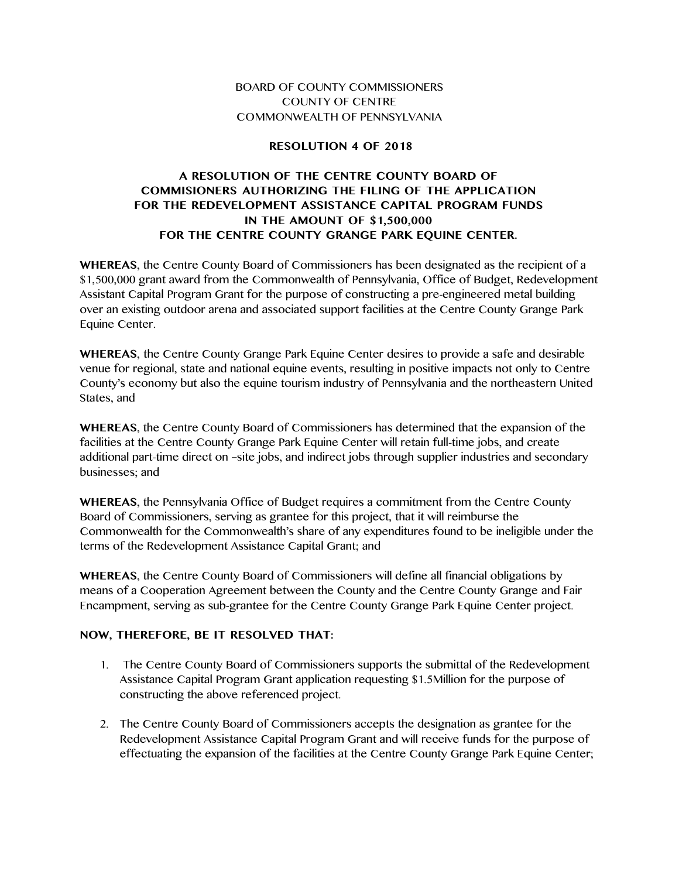## BOARD OF COUNTY COMMISSIONERS COUNTY OF CENTRE COMMONWEALTH OF PENNSYLVANIA

## **RESOLUTION 4 OF 2018**

## **A RESOLUTION OF THE CENTRE COUNTY BOARD OF COMMISIONERS AUTHORIZING THE FILING OF THE APPLICATION FOR THE REDEVELOPMENT ASSISTANCE CAPITAL PROGRAM FUNDS IN THE AMOUNT OF \$1,500,000 FOR THE CENTRE COUNTY GRANGE PARK EQUINE CENTER.**

**WHEREAS**, the Centre County Board of Commissioners has been designated as the recipient of a \$1,500,000 grant award from the Commonwealth of Pennsylvania, Office of Budget, Redevelopment Assistant Capital Program Grant for the purpose of constructing a pre-engineered metal building over an existing outdoor arena and associated support facilities at the Centre County Grange Park Equine Center.

**WHEREAS**, the Centre County Grange Park Equine Center desires to provide a safe and desirable venue for regional, state and national equine events, resulting in positive impacts not only to Centre County's economy but also the equine tourism industry of Pennsylvania and the northeastern United States, and

**WHEREAS**, the Centre County Board of Commissioners has determined that the expansion of the facilities at the Centre County Grange Park Equine Center will retain full-time jobs, and create additional part-time direct on –site jobs, and indirect jobs through supplier industries and secondary businesses; and

**WHEREAS**, the Pennsylvania Office of Budget requires a commitment from the Centre County Board of Commissioners, serving as grantee for this project, that it will reimburse the Commonwealth for the Commonwealth's share of any expenditures found to be ineligible under the terms of the Redevelopment Assistance Capital Grant; and

**WHEREAS**, the Centre County Board of Commissioners will define all financial obligations by means of a Cooperation Agreement between the County and the Centre County Grange and Fair Encampment, serving as sub-grantee for the Centre County Grange Park Equine Center project.

## **NOW, THEREFORE, BE IT RESOLVED THAT:**

- 1. The Centre County Board of Commissioners supports the submittal of the Redevelopment Assistance Capital Program Grant application requesting \$1.5Million for the purpose of constructing the above referenced project.
- 2. The Centre County Board of Commissioners accepts the designation as grantee for the Redevelopment Assistance Capital Program Grant and will receive funds for the purpose of effectuating the expansion of the facilities at the Centre County Grange Park Equine Center;